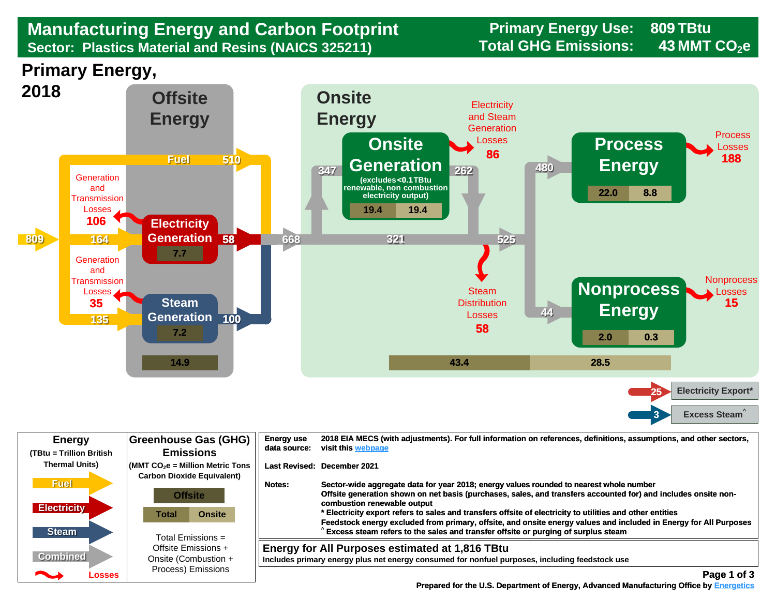## Sector: Plastics Material and Resins (NAICS 325211) Total GHG Emissions: 43 MMT CO<sub>2</sub>e **Manufacturing Energy and Carbon Footprint Frimary Energy Use:** Primary Energy Use:<br>Sector: Plastics Material and Resins (NAICS 325211) Total GHG Emissions:

**809**

**43**





| <b>Energy</b><br>(TBtu = Trillion British | <b>Greenhouse Gas (GHG)</b><br><b>Emissions</b>                                                          | <b>Energy use</b><br>data source: | 2018 EIA MECS (with adjustments). For full information on references, definitions, assumptions, and other sectors,<br>visit this webpage                                                                                                                                                                                                                                                                                                                                   |
|-------------------------------------------|----------------------------------------------------------------------------------------------------------|-----------------------------------|----------------------------------------------------------------------------------------------------------------------------------------------------------------------------------------------------------------------------------------------------------------------------------------------------------------------------------------------------------------------------------------------------------------------------------------------------------------------------|
| <b>Thermal Units)</b>                     | $\sqrt{\frac{1}{100}}$ (MMT CO <sub>2</sub> e = Million Metric Tons<br><b>Carbon Dioxide Equivalent)</b> |                                   | Last Revised: December 2021                                                                                                                                                                                                                                                                                                                                                                                                                                                |
| <b>Fuel</b><br><b>Electricity</b>         | <b>Offsite</b><br><b>Onsite</b><br>Total                                                                 | Notes:                            | Sector-wide aggregate data for year 2018; energy values rounded to nearest whole number<br>Offsite generation shown on net basis (purchases, sales, and transfers accounted for) and includes onsite non-<br>combustion renewable output<br>* Electricity export refers to sales and transfers offsite of electricity to utilities and other entities<br>Feedstock energy excluded from primary, offsite, and onsite energy values and included in Energy for All Purposes |
| <b>Steam</b>                              | Total Emissions $=$                                                                                      |                                   | Excess steam refers to the sales and transfer offsite or purging of surplus steam                                                                                                                                                                                                                                                                                                                                                                                          |
| <b>Combined</b>                           | Offsite Emissions +<br>Onsite (Combustion +                                                              |                                   | Energy for All Purposes estimated at 1,816 TBtu<br>Includes primary energy plus net energy consumed for nonfuel purposes, including feedstock use                                                                                                                                                                                                                                                                                                                          |
| <b>Property</b><br>Losses                 | Process) Emissions                                                                                       |                                   | Page 1 of 3                                                                                                                                                                                                                                                                                                                                                                                                                                                                |

 **[Prepared for the U.S. Department of Energy, Advanced Manufacturing Office by Energetics](https://www.energetics.com/) Manufacturing Energetics**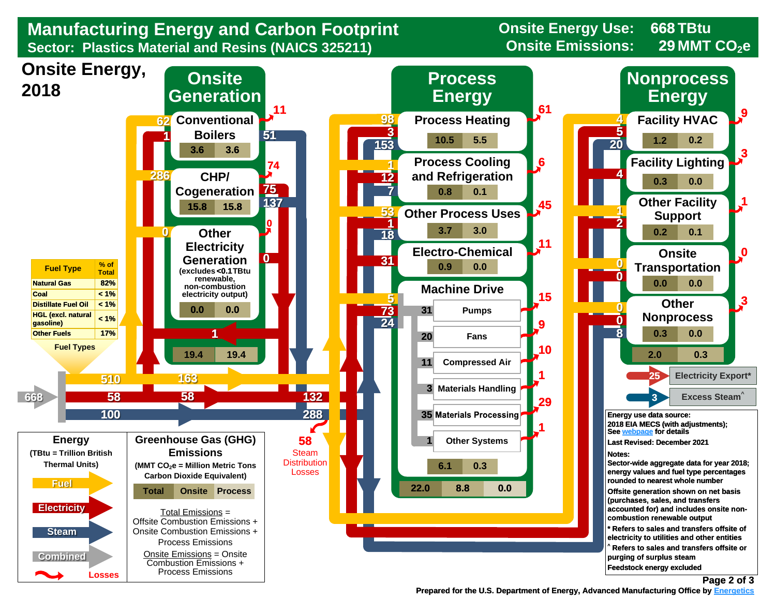